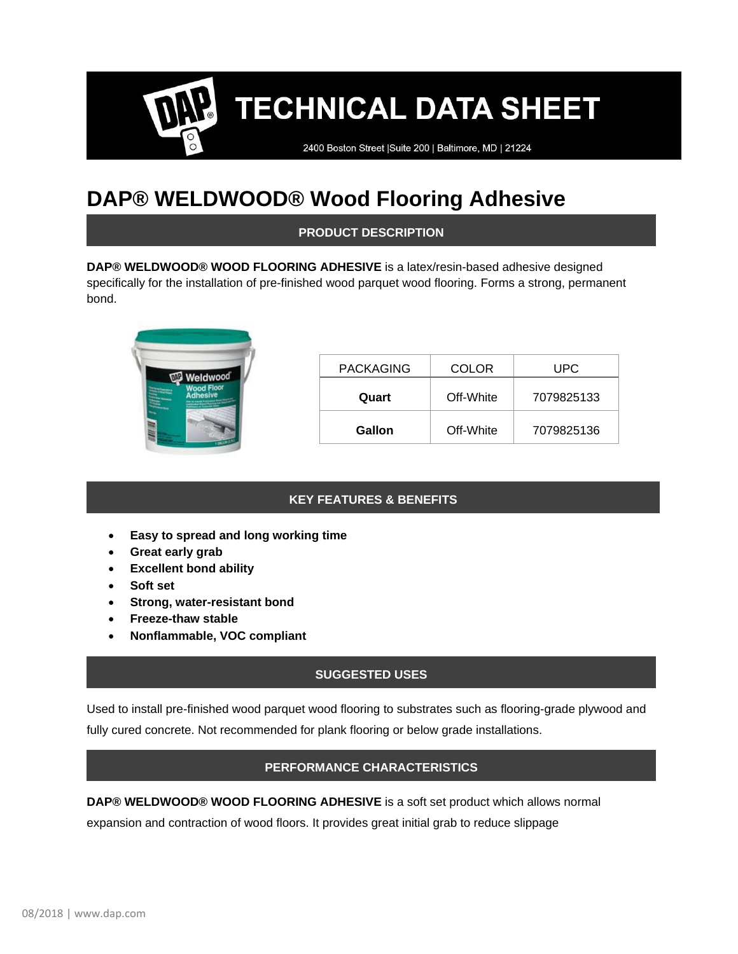# **TECHNICAL DATA SHEET**

2400 Boston Street | Suite 200 | Baltimore, MD | 21224

# **DAP® WELDWOOD® Wood Flooring Adhesive**

# **PRODUCT DESCRIPTION**

**DAP® WELDWOOD® WOOD FLOORING ADHESIVE** is a latex/resin-based adhesive designed specifically for the installation of pre-finished wood parquet wood flooring. Forms a strong, permanent bond.



| <b>PACKAGING</b> | <b>COLOR</b> | UPC        |
|------------------|--------------|------------|
| Quart            | Off-White    | 7079825133 |
| Gallon           | Off-White    | 7079825136 |

# **KEY FEATURES & BENEFITS**

- **Easy to spread and long working time**
- **Great early grab**
- **Excellent bond ability**
- **Soft set**
- **Strong, water-resistant bond**
- **Freeze-thaw stable**
- **Nonflammable, VOC compliant**

# **SUGGESTED USES**

Used to install pre-finished wood parquet wood flooring to substrates such as flooring-grade plywood and fully cured concrete. Not recommended for plank flooring or below grade installations.

# **PERFORMANCE CHARACTERISTICS**

**DAP® WELDWOOD® WOOD FLOORING ADHESIVE** is a soft set product which allows normal expansion and contraction of wood floors. It provides great initial grab to reduce slippage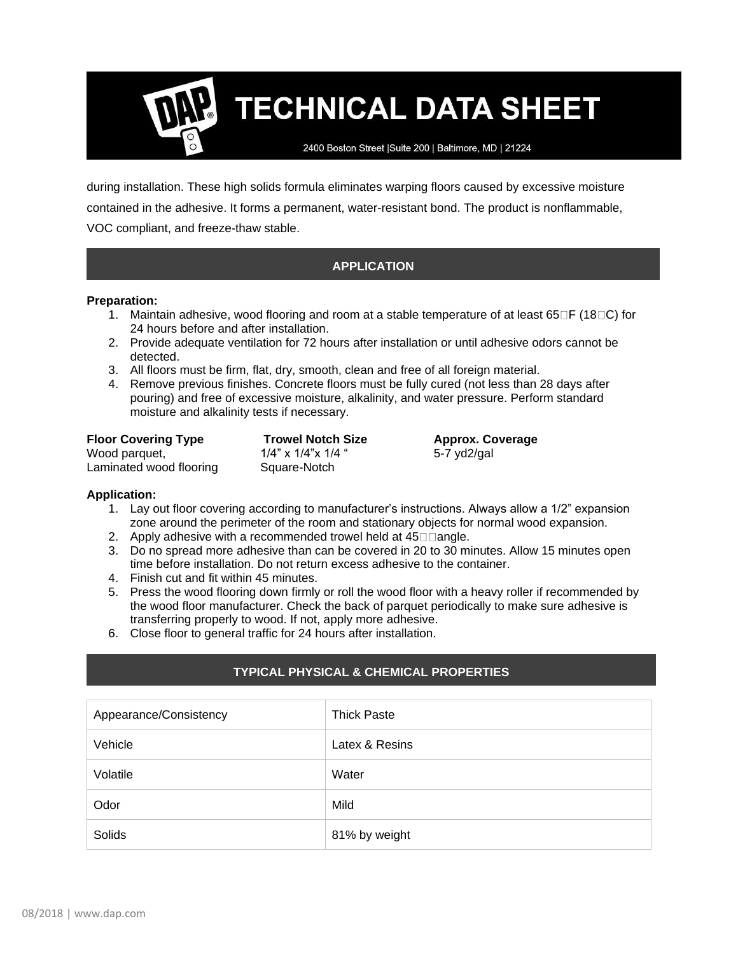**TECHNICAL DATA SHEET** 

2400 Boston Street | Suite 200 | Baltimore, MD | 21224

during installation. These high solids formula eliminates warping floors caused by excessive moisture contained in the adhesive. It forms a permanent, water-resistant bond. The product is nonflammable, VOC compliant, and freeze-thaw stable.

# **APPLICATION**

#### **Preparation:**

- 1. Maintain adhesive, wood flooring and room at a stable temperature of at least  $65\text{ }\square$  (18 $\text{ }\square$ ) for 24 hours before and after installation.
- 2. Provide adequate ventilation for 72 hours after installation or until adhesive odors cannot be detected.
- 3. All floors must be firm, flat, dry, smooth, clean and free of all foreign material.
- 4. Remove previous finishes. Concrete floors must be fully cured (not less than 28 days after pouring) and free of excessive moisture, alkalinity, and water pressure. Perform standard moisture and alkalinity tests if necessary.

| <b>Floor Covering Type</b> | <b>Trowel Notch</b> |
|----------------------------|---------------------|
| Wood parquet,              | 1/4" x 1/4"x 1/4    |
| Laminated wood flooring    | Square-Notch        |

**Figure I Notch Size Approx. Coverage**  $x \frac{1}{4}$ " 5-7 yd2/gal

#### **Application:**

- 1. Lay out floor covering according to manufacturer's instructions. Always allow a 1/2" expansion zone around the perimeter of the room and stationary objects for normal wood expansion.
- 2. Apply adhesive with a recommended trowel held at  $45 \Box \Box$  angle.
- 3. Do no spread more adhesive than can be covered in 20 to 30 minutes. Allow 15 minutes open time before installation. Do not return excess adhesive to the container.
- 4. Finish cut and fit within 45 minutes.
- 5. Press the wood flooring down firmly or roll the wood floor with a heavy roller if recommended by the wood floor manufacturer. Check the back of parquet periodically to make sure adhesive is transferring properly to wood. If not, apply more adhesive.
- 6. Close floor to general traffic for 24 hours after installation.

# **TYPICAL PHYSICAL & CHEMICAL PROPERTIES**

| Appearance/Consistency | <b>Thick Paste</b> |
|------------------------|--------------------|
| Vehicle                | Latex & Resins     |
| Volatile               | Water              |
| Odor                   | Mild               |
| Solids                 | 81% by weight      |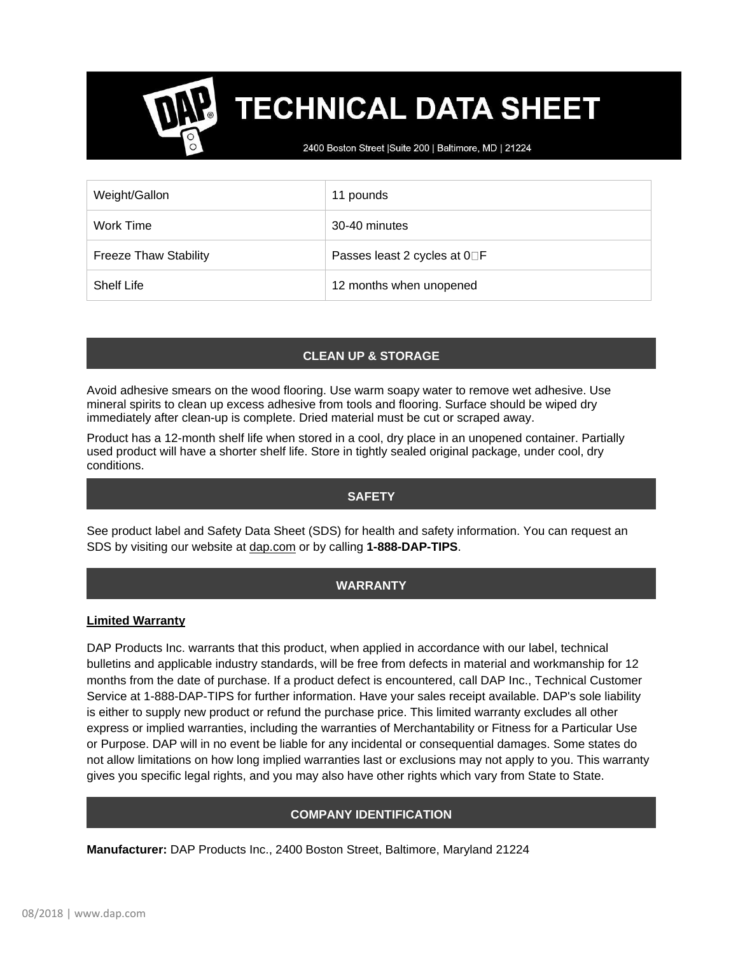# **TECHNICAL DATA SHEET**

2400 Boston Street | Suite 200 | Baltimore, MD | 21224

| Weight/Gallon                | 11 pounds                    |
|------------------------------|------------------------------|
| Work Time                    | 30-40 minutes                |
| <b>Freeze Thaw Stability</b> | Passes least 2 cycles at 0□F |
| <b>Shelf Life</b>            | 12 months when unopened      |

# **CLEAN UP & STORAGE**

Avoid adhesive smears on the wood flooring. Use warm soapy water to remove wet adhesive. Use mineral spirits to clean up excess adhesive from tools and flooring. Surface should be wiped dry immediately after clean-up is complete. Dried material must be cut or scraped away.

Product has a 12-month shelf life when stored in a cool, dry place in an unopened container. Partially used product will have a shorter shelf life. Store in tightly sealed original package, under cool, dry conditions.

#### **SAFETY**

See product label and Safety Data Sheet (SDS) for health and safety information. You can request an SDS by visiting our website at [dap.com](http://www.dap.com/) or by calling **1-888-DAP-TIPS**.

# **WARRANTY**

#### **Limited Warranty**

DAP Products Inc. warrants that this product, when applied in accordance with our label, technical bulletins and applicable industry standards, will be free from defects in material and workmanship for 12 months from the date of purchase. If a product defect is encountered, call DAP Inc., Technical Customer Service at 1-888-DAP-TIPS for further information. Have your sales receipt available. DAP's sole liability is either to supply new product or refund the purchase price. This limited warranty excludes all other express or implied warranties, including the warranties of Merchantability or Fitness for a Particular Use or Purpose. DAP will in no event be liable for any incidental or consequential damages. Some states do not allow limitations on how long implied warranties last or exclusions may not apply to you. This warranty gives you specific legal rights, and you may also have other rights which vary from State to State.

# **COMPANY IDENTIFICATION**

**Manufacturer:** DAP Products Inc., 2400 Boston Street, Baltimore, Maryland 21224